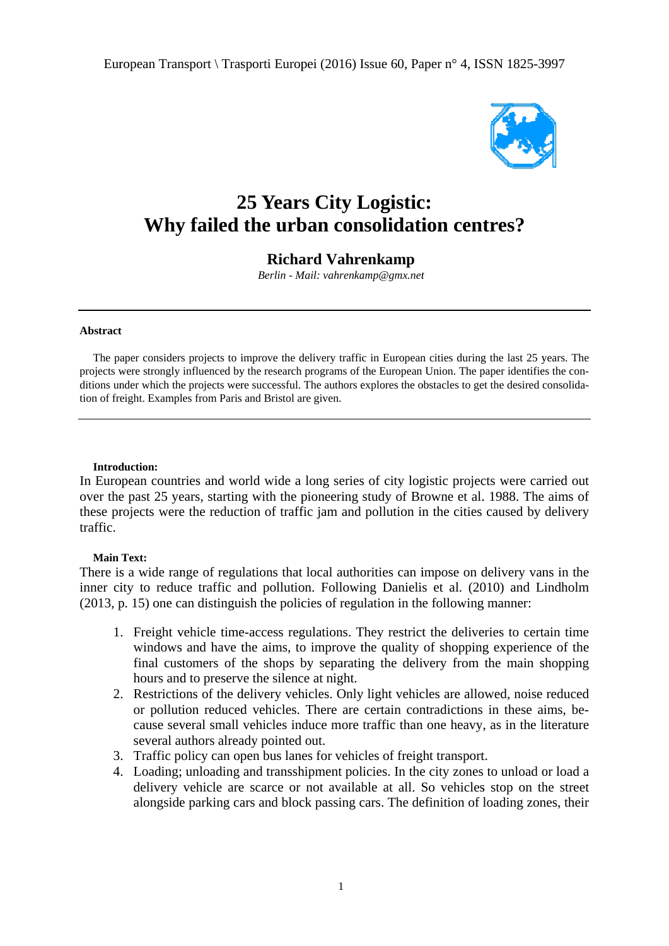

# **25 Years City Logistic:** Why failed the urban consolidation centres?

## **Richard Vahrenkamp**

Berlin - Mail: vahrenkamp@gmx.net

#### **Abstract**

The paper considers projects to improve the delivery traffic in European cities during the last 25 years. The projects were strongly influenced by the research programs of the European Union. The paper identifies the conditions under which the projects were successful. The authors explores the obstacles to get the desired consolidation of freight. Examples from Paris and Bristol are given.

#### **Introduction:**

In European countries and world wide a long series of city logistic projects were carried out over the past 25 years, starting with the pioneering study of Browne et al. 1988. The aims of these projects were the reduction of traffic jam and pollution in the cities caused by delivery traffic.

### **Main Text:**

There is a wide range of regulations that local authorities can impose on delivery vans in the inner city to reduce traffic and pollution. Following Danielis et al. (2010) and Lindholm (2013, p. 15) one can distinguish the policies of regulation in the following manner:

- 1. Freight vehicle time-access regulations. They restrict the deliveries to certain time windows and have the aims, to improve the quality of shopping experience of the final customers of the shops by separating the delivery from the main shopping hours and to preserve the silence at night.
- 2. Restrictions of the delivery vehicles. Only light vehicles are allowed, noise reduced or pollution reduced vehicles. There are certain contradictions in these aims, because several small vehicles induce more traffic than one heavy, as in the literature several authors already pointed out.
- 3. Traffic policy can open bus lanes for vehicles of freight transport.
- 4. Loading; unloading and transshipment policies. In the city zones to unload or load a delivery vehicle are scarce or not available at all. So vehicles stop on the street alongside parking cars and block passing cars. The definition of loading zones, their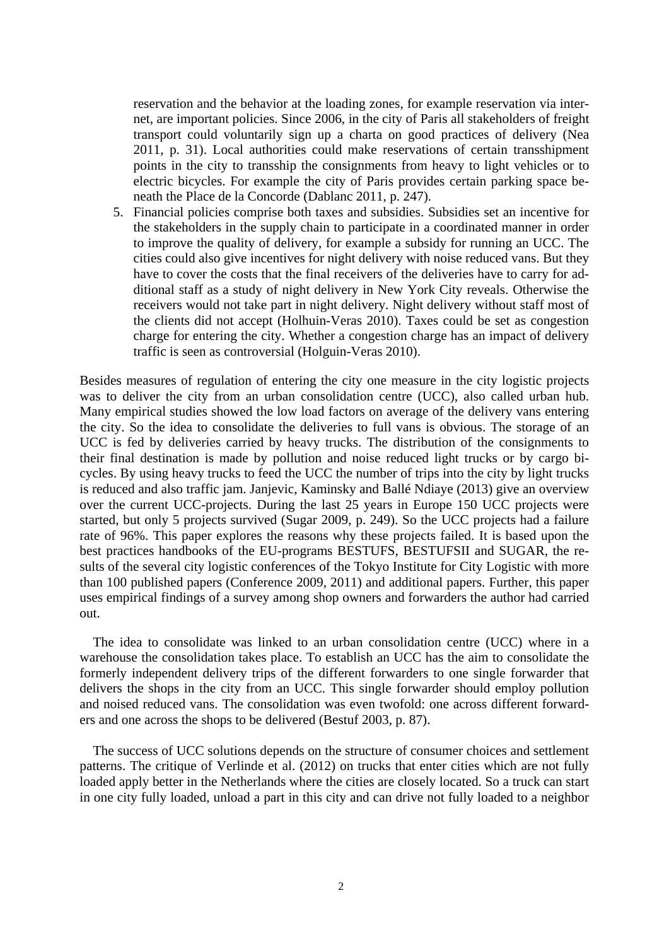reservation and the behavior at the loading zones, for example reservation via internet, are important policies. Since 2006, in the city of Paris all stakeholders of freight transport could voluntarily sign up a charta on good practices of delivery (Nea 2011, p. 31). Local authorities could make reservations of certain transshipment points in the city to transship the consignments from heavy to light vehicles or to electric bicycles. For example the city of Paris provides certain parking space beneath the Place de la Concorde (Dablanc 2011, p. 247).

5. Financial policies comprise both taxes and subsidies. Subsidies set an incentive for the stakeholders in the supply chain to participate in a coordinated manner in order to improve the quality of delivery, for example a subsidy for running an UCC. The cities could also give incentives for night delivery with noise reduced vans. But they have to cover the costs that the final receivers of the deliveries have to carry for additional staff as a study of night delivery in New York City reveals. Otherwise the receivers would not take part in night delivery. Night delivery without staff most of the clients did not accept (Holhuin-Veras 2010). Taxes could be set as congestion charge for entering the city. Whether a congestion charge has an impact of delivery traffic is seen as controversial (Holguin-Veras 2010).

Besides measures of regulation of entering the city one measure in the city logistic projects was to deliver the city from an urban consolidation centre (UCC), also called urban hub. Many empirical studies showed the low load factors on average of the delivery vans entering the city. So the idea to consolidate the deliveries to full vans is obvious. The storage of an UCC is fed by deliveries carried by heavy trucks. The distribution of the consignments to their final destination is made by pollution and noise reduced light trucks or by cargo bicycles. By using heavy trucks to feed the UCC the number of trips into the city by light trucks is reduced and also traffic jam. Janjevic, Kaminsky and Ballé Ndiaye (2013) give an overview over the current UCC-projects. During the last 25 years in Europe 150 UCC projects were started, but only 5 projects survived (Sugar 2009, p. 249). So the UCC projects had a failure rate of 96%. This paper explores the reasons why these projects failed. It is based upon the best practices handbooks of the EU-programs BESTUFS, BESTUFSII and SUGAR, the results of the several city logistic conferences of the Tokyo Institute for City Logistic with more than 100 published papers (Conference 2009, 2011) and additional papers. Further, this paper uses empirical findings of a survey among shop owners and forwarders the author had carried out.

The idea to consolidate was linked to an urban consolidation centre (UCC) where in a warehouse the consolidation takes place. To establish an UCC has the aim to consolidate the formerly independent delivery trips of the different forwarders to one single forwarder that delivers the shops in the city from an UCC. This single forwarder should employ pollution and noised reduced vans. The consolidation was even twofold: one across different forwarders and one across the shops to be delivered (Bestuf 2003, p. 87).

The success of UCC solutions depends on the structure of consumer choices and settlement patterns. The critique of Verlinde et al. (2012) on trucks that enter cities which are not fully loaded apply better in the Netherlands where the cities are closely located. So a truck can start in one city fully loaded, unload a part in this city and can drive not fully loaded to a neighbor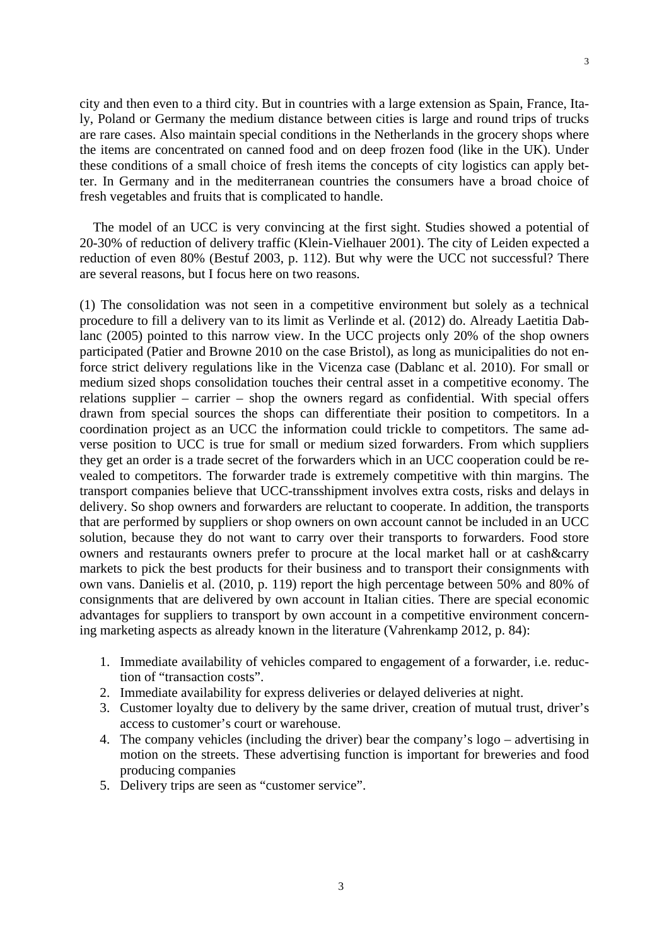city and then even to a third city. But in countries with a large extension as Spain, France, Italy, Poland or Germany the medium distance between cities is large and round trips of trucks are rare cases. Also maintain special conditions in the Netherlands in the grocery shops where the items are concentrated on canned food and on deep frozen food (like in the UK). Under these conditions of a small choice of fresh items the concepts of city logistics can apply better. In Germany and in the mediterranean countries the consumers have a broad choice of fresh vegetables and fruits that is complicated to handle.

The model of an UCC is very convincing at the first sight. Studies showed a potential of 20-30% of reduction of delivery traffic (Klein-Vielhauer 2001). The city of Leiden expected a reduction of even 80% (Bestuf 2003, p. 112). But why were the UCC not successful? There are several reasons, but I focus here on two reasons.

(1) The consolidation was not seen in a competitive environment but solely as a technical procedure to fill a delivery van to its limit as Verlinde et al. (2012) do. Already Laetitia Dablanc (2005) pointed to this narrow view. In the UCC projects only 20% of the shop owners participated (Patier and Browne 2010 on the case Bristol), as long as municipalities do not enforce strict delivery regulations like in the Vicenza case (Dablanc et al. 2010). For small or medium sized shops consolidation touches their central asset in a competitive economy. The relations supplier – carrier – shop the owners regard as confidential. With special offers drawn from special sources the shops can differentiate their position to competitors. In a coordination project as an UCC the information could trickle to competitors. The same adverse position to UCC is true for small or medium sized forwarders. From which suppliers they get an order is a trade secret of the forwarders which in an UCC cooperation could be revealed to competitors. The forwarder trade is extremely competitive with thin margins. The transport companies believe that UCC-transshipment involves extra costs, risks and delays in delivery. So shop owners and forwarders are reluctant to cooperate. In addition, the transports that are performed by suppliers or shop owners on own account cannot be included in an UCC solution, because they do not want to carry over their transports to forwarders. Food store owners and restaurants owners prefer to procure at the local market hall or at cash&carry markets to pick the best products for their business and to transport their consignments with own vans. Danielis et al. (2010, p. 119) report the high percentage between 50% and 80% of consignments that are delivered by own account in Italian cities. There are special economic advantages for suppliers to transport by own account in a competitive environment concerning marketing aspects as already known in the literature (Vahrenkamp 2012, p. 84):

- 1. Immediate availability of vehicles compared to engagement of a forwarder, i.e. reduction of "transaction costs".
- 2. Immediate availability for express deliveries or delayed deliveries at night.
- 3. Customer loyalty due to delivery by the same driver, creation of mutual trust, driver's access to customer's court or warehouse.
- 4. The company vehicles (including the driver) bear the company's logo advertising in motion on the streets. These advertising function is important for breweries and food producing companies
- 5. Delivery trips are seen as "customer service".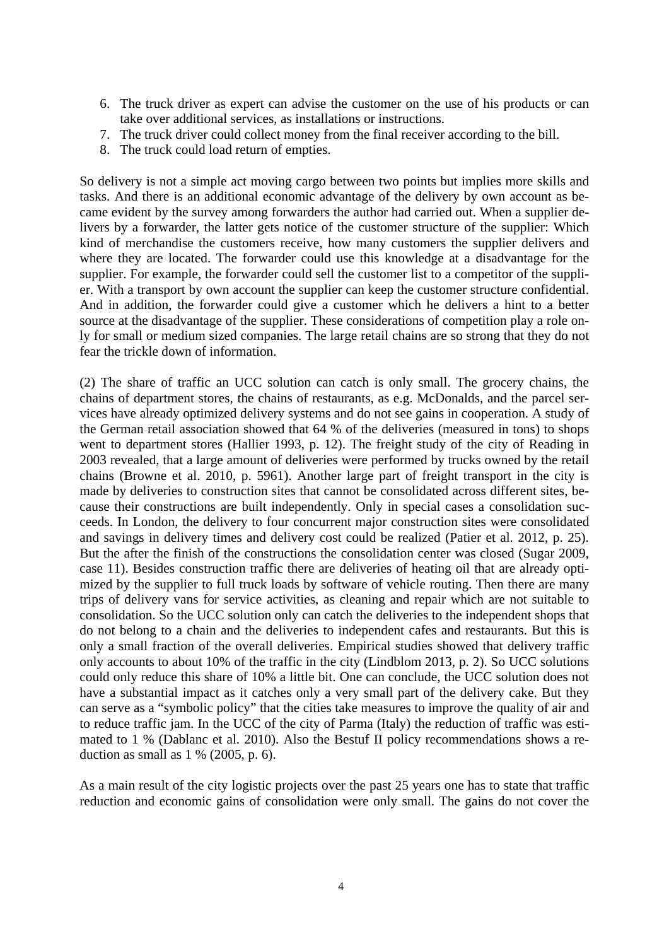- 6. The truck driver as expert can advise the customer on the use of his products or can take over additional services, as installations or instructions.
- 7. The truck driver could collect money from the final receiver according to the bill.
- 8. The truck could load return of empties.

So delivery is not a simple act moving cargo between two points but implies more skills and tasks. And there is an additional economic advantage of the delivery by own account as became evident by the survey among forwarders the author had carried out. When a supplier delivers by a forwarder, the latter gets notice of the customer structure of the supplier: Which kind of merchandise the customers receive, how many customers the supplier delivers and where they are located. The forwarder could use this knowledge at a disadvantage for the supplier. For example, the forwarder could sell the customer list to a competitor of the supplier. With a transport by own account the supplier can keep the customer structure confidential. And in addition, the forwarder could give a customer which he delivers a hint to a better source at the disadvantage of the supplier. These considerations of competition play a role only for small or medium sized companies. The large retail chains are so strong that they do not fear the trickle down of information.

(2) The share of traffic an UCC solution can catch is only small. The grocery chains, the chains of department stores, the chains of restaurants, as e.g. McDonalds, and the parcel services have already optimized delivery systems and do not see gains in cooperation. A study of the German retail association showed that 64 % of the deliveries (measured in tons) to shops went to department stores (Hallier 1993, p. 12). The freight study of the city of Reading in 2003 revealed, that a large amount of deliveries were performed by trucks owned by the retail chains (Browne et al. 2010, p. 5961). Another large part of freight transport in the city is made by deliveries to construction sites that cannot be consolidated across different sites, because their constructions are built independently. Only in special cases a consolidation succeeds. In London, the delivery to four concurrent major construction sites were consolidated and savings in delivery times and delivery cost could be realized (Patier et al. 2012, p. 25). But the after the finish of the constructions the consolidation center was closed (Sugar 2009, case 11). Besides construction traffic there are deliveries of heating oil that are already optimized by the supplier to full truck loads by software of vehicle routing. Then there are many trips of delivery vans for service activities, as cleaning and repair which are not suitable to consolidation. So the UCC solution only can catch the deliveries to the independent shops that do not belong to a chain and the deliveries to independent cafes and restaurants. But this is only a small fraction of the overall deliveries. Empirical studies showed that delivery traffic only accounts to about 10% of the traffic in the city (Lindblom 2013, p. 2). So UCC solutions could only reduce this share of 10% a little bit. One can conclude, the UCC solution does not have a substantial impact as it catches only a very small part of the delivery cake. But they can serve as a "symbolic policy" that the cities take measures to improve the quality of air and to reduce traffic jam. In the UCC of the city of Parma (Italy) the reduction of traffic was estimated to 1 % (Dablanc et al. 2010). Also the Bestuf II policy recommendations shows a reduction as small as  $1\%$  (2005, p. 6).

As a main result of the city logistic projects over the past 25 years one has to state that traffic reduction and economic gains of consolidation were only small. The gains do not cover the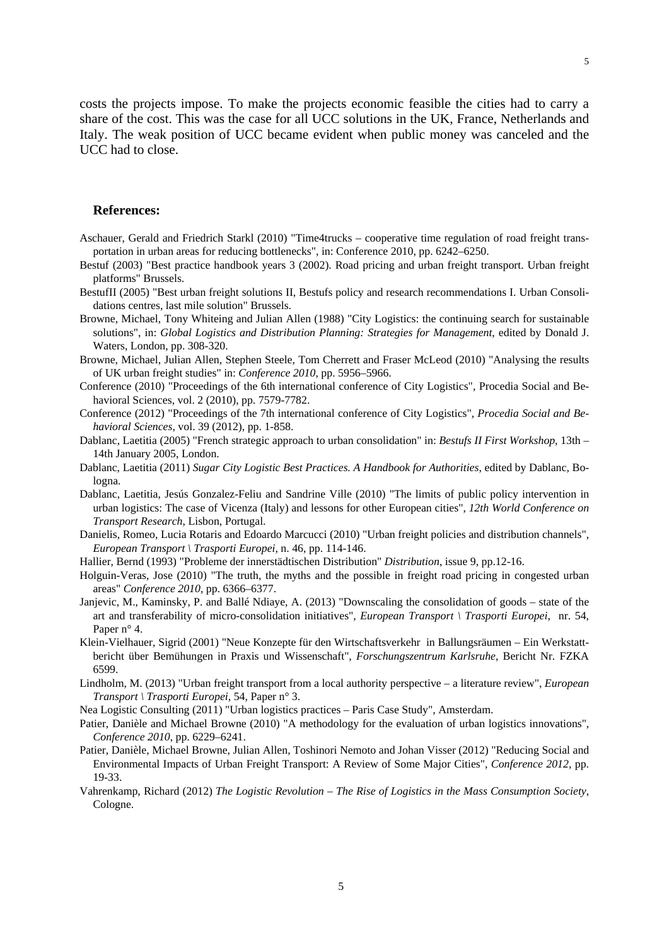costs the projects impose. To make the projects economic feasible the cities had to carry a share of the cost. This was the case for all UCC solutions in the UK, France, Netherlands and Italy. The weak position of UCC became evident when public money was canceled and the UCC had to close.

#### **References:**

- Aschauer, Gerald and Friedrich Starkl (2010) "Time4trucks cooperative time regulation of road freight transportation in urban areas for reducing bottlenecks", in: Conference 2010, pp. 6242–6250.
- Bestuf (2003) "Best practice handbook years 3 (2002). Road pricing and urban freight transport. Urban freight platforms" Brussels.
- BestufII (2005) "Best urban freight solutions II, Bestufs policy and research recommendations I. Urban Consolidations centres, last mile solution" Brussels.
- Browne, Michael, Tony Whiteing and Julian Allen (1988) "City Logistics: the continuing search for sustainable solutions", in: *Global Logistics and Distribution Planning: Strategies for Management*, edited by Donald J. Waters, London, pp. 308-320.
- Browne, Michael, Julian Allen, Stephen Steele, Tom Cherrett and Fraser McLeod (2010) "Analysing the results of UK urban freight studies" in: *Conference 2010*, pp. 5956–5966.
- Conference (2010) "Proceedings of the 6th international conference of City Logistics", Procedia Social and Behavioral Sciences, vol. 2 (2010), pp. 7579-7782.
- Conference (2012) "Proceedings of the 7th international conference of City Logistics", *Procedia Social and Behavioral Sciences*, vol. 39 (2012), pp. 1-858.
- Dablanc, Laetitia (2005) "French strategic approach to urban consolidation" in: *Bestufs II First Workshop*, 13th 14th January 2005, London.
- Dablanc, Laetitia (2011) *Sugar City Logistic Best Practices. A Handbook for Authorities*, edited by Dablanc, Bologna.
- Dablanc, Laetitia, Jesús Gonzalez-Feliu and Sandrine Ville (2010) "The limits of public policy intervention in urban logistics: The case of Vicenza (Italy) and lessons for other European cities", *12th World Conference on Transport Research*, Lisbon, Portugal.
- Danielis, Romeo, Lucia Rotaris and Edoardo Marcucci (2010) "Urban freight policies and distribution channels", *European Transport \ Trasporti Europei*, n. 46, pp. 114-146.
- Hallier, Bernd (1993) "Probleme der innerstädtischen Distribution" *Distribution*, issue 9, pp.12-16.
- Holguin-Veras, Jose (2010) "The truth, the myths and the possible in freight road pricing in congested urban areas" *Conference 2010*, pp. 6366–6377.
- Janjevic, M., Kaminsky, P. and Ballé Ndiaye, A. (2013) "Downscaling the consolidation of goods state of the art and transferability of micro-consolidation initiatives", *European Transport \ Trasporti Europei*, nr. 54, Paper n° 4.
- Klein-Vielhauer, Sigrid (2001) "Neue Konzepte für den Wirtschaftsverkehr in Ballungsräumen Ein Werkstattbericht über Bemühungen in Praxis und Wissenschaft", *Forschungszentrum Karlsruhe*, Bericht Nr. FZKA 6599.
- Lindholm, M. (2013) "Urban freight transport from a local authority perspective a literature review", *European Transport \ Trasporti Europei,* 54, Paper n° 3.
- Nea Logistic Consulting (2011) "Urban logistics practices Paris Case Study", Amsterdam.
- Patier, Danièle and Michael Browne (2010) "A methodology for the evaluation of urban logistics innovations", *Conference 2010*, pp. 6229–6241.
- Patier, Danièle, Michael Browne, Julian Allen, Toshinori Nemoto and Johan Visser (2012) "Reducing Social and Environmental Impacts of Urban Freight Transport: A Review of Some Major Cities", *Conference 2012*, pp. 19-33.
- Vahrenkamp, Richard (2012) *The Logistic Revolution The Rise of Logistics in the Mass Consumption Society*, Cologne.